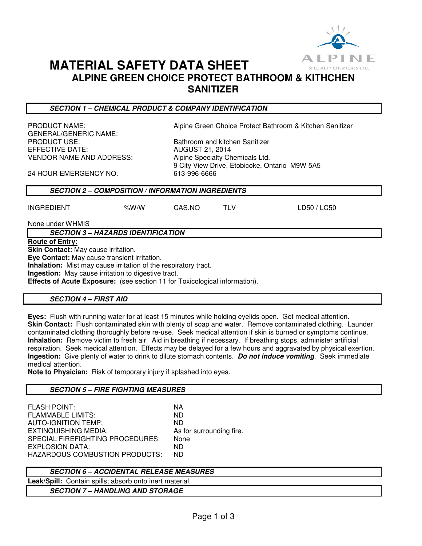

# **MATERIAL SAFETY DATA SHEET**

**ALPINE GREEN CHOICE PROTECT BATHROOM & KITHCHEN SANITIZER** 

**SECTION 1 – CHEMICAL PRODUCT & COMPANY IDENTIFICATION** 

PRODUCT NAME: Alpine Green Choice Protect Bathroom & Kitchen Sanitizer GENERAL/GENERIC NAME: PRODUCT USE: Bathroom and kitchen Sanitizer EFFECTIVE DATE: AUGUST 21, 2014 VENDOR NAME AND ADDRESS: Alpine Specialty Chemicals Ltd.

9 City View Drive, Etobicoke, Ontario M9W 5A5

24 HOUR EMERGENCY NO. 613-996-6666

# **SECTION 2 – COMPOSITION / INFORMATION INGREDIENTS**

| <b>INGREDIENT</b> | %W/W | CAS.NO | LD50 / LC50 |
|-------------------|------|--------|-------------|

None under WHMIS

**SECTION 3 – HAZARDS IDENTIFICATION** 

**Route of Entry:** 

**Skin Contact:** May cause irritation.

**Eye Contact:** May cause transient irritation.

**Inhalation:** Mist may cause irritation of the respiratory tract.

**Ingestion:** May cause irritation to digestive tract.

**Effects of Acute Exposure:** (see section 11 for Toxicological information).

# **SECTION 4 – FIRST AID**

**Eyes:** Flush with running water for at least 15 minutes while holding eyelids open. Get medical attention. **Skin Contact:** Flush contaminated skin with plenty of soap and water. Remove contaminated clothing. Launder contaminated clothing thoroughly before re-use. Seek medical attention if skin is burned or symptoms continue. **Inhalation:** Remove victim to fresh air. Aid in breathing if necessary. If breathing stops, administer artificial respiration. Seek medical attention. Effects may be delayed for a few hours and aggravated by physical exertion. **Ingestion:** Give plenty of water to drink to dilute stomach contents. **Do not induce vomiting**. Seek immediate medical attention.

**Note to Physician:** Risk of temporary injury if splashed into eyes.

# **SECTION 5 – FIRE FIGHTING MEASURES**

FLASH POINT: NA FLAMMABLE LIMITS: ND AUTO-IGNITION TEMP: ND EXTINQUISHING MEDIA: As for surrounding fire. SPECIAL FIREFIGHTING PROCEDURES: None EXPLOSION DATA: ND HAZARDOUS COMBUSTION PRODUCTS: ND

# **SECTION 6 – ACCIDENTAL RELEASE MEASURES**

**Leak/Spill:** Contain spills; absorb onto inert material.

**SECTION 7 – HANDLING AND STORAGE**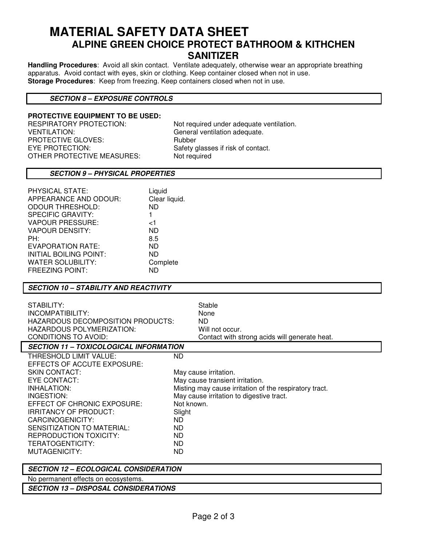# **MATERIAL SAFETY DATA SHEET ALPINE GREEN CHOICE PROTECT BATHROOM & KITHCHEN SANITIZER**

**Handling Procedures**: Avoid all skin contact. Ventilate adequately, otherwise wear an appropriate breathing apparatus. Avoid contact with eyes, skin or clothing. Keep container closed when not in use. **Storage Procedures**: Keep from freezing. Keep containers closed when not in use.

# **SECTION 8 – EXPOSURE CONTROLS**

#### **PROTECTIVE EQUIPMENT TO BE USED:**

RESPIRATORY PROTECTION: Not required under adequate ventilation. VENTILATION:<br>
PROTECTIVE GLOVES: 
FROTECTIVE GLOVES:

Subber PROTECTIVE GLOVES:<br>EYE PROTECTION: OTHER PROTECTIVE MEASURES:

Safety glasses if risk of contact.<br>Not required

#### **SECTION 9 – PHYSICAL PROPERTIES**

| Liquid        |
|---------------|
| Clear liquid. |
| ND.           |
| 1             |
| ا>            |
| <b>ND</b>     |
| 8.5           |
| <b>ND</b>     |
| ND.           |
| Complete      |
| ND            |
|               |

#### **SECTION 10 – STABILITY AND REACTIVITY**

| STABILITY:<br>INCOMPATIBILITY:<br>HAZARDOUS DECOMPOSITION PRODUCTS:<br>HAZARDOUS POLYMERIZATION:<br>CONDITIONS TO AVOID:<br><b>SECTION 11 - TOXICOLOGICAL INFORMATION</b>                                                                                                                                  | Stable<br>None<br>ND.<br>Will not occur.<br>Contact with strong acids will generate heat.                                                                                                                                                          |
|------------------------------------------------------------------------------------------------------------------------------------------------------------------------------------------------------------------------------------------------------------------------------------------------------------|----------------------------------------------------------------------------------------------------------------------------------------------------------------------------------------------------------------------------------------------------|
| THRESHOLD LIMIT VALUE:<br>EFFECTS OF ACCUTE EXPOSURE:<br><b>SKIN CONTACT:</b><br>EYE CONTACT:<br>INHALATION:<br>INGESTION:<br>EFFECT OF CHRONIC EXPOSURE:<br><b>IRRITANCY OF PRODUCT:</b><br>CARCINOGENICITY:<br>SENSITIZATION TO MATERIAL:<br>REPRODUCTION TOXICITY:<br>TERATOGENTICITY:<br>MUTAGENICITY: | <b>ND</b><br>May cause irritation.<br>May cause transient irritation.<br>Misting may cause irritation of the respiratory tract.<br>May cause irritation to digestive tract.<br>Not known.<br>Slight<br>ND.<br><b>ND</b><br>ND.<br>ND.<br><b>ND</b> |

**SECTION 12 – ECOLOGICAL CONSIDERATION** 

No permanent effects on ecosystems.

**SECTION 13 – DISPOSAL CONSIDERATIONS**